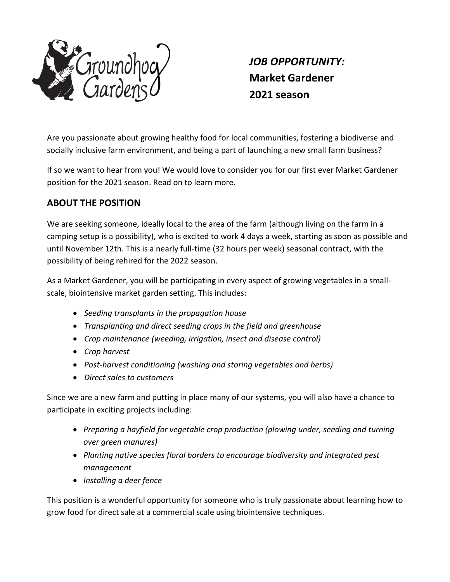

*JOB OPPORTUNITY:*  **Market Gardener 2021 season**

Are you passionate about growing healthy food for local communities, fostering a biodiverse and socially inclusive farm environment, and being a part of launching a new small farm business?

If so we want to hear from you! We would love to consider you for our first ever Market Gardener position for the 2021 season. Read on to learn more.

## **ABOUT THE POSITION**

We are seeking someone, ideally local to the area of the farm (although living on the farm in a camping setup is a possibility), who is excited to work 4 days a week, starting as soon as possible and until November 12th. This is a nearly full-time (32 hours per week) seasonal contract, with the possibility of being rehired for the 2022 season.

As a Market Gardener, you will be participating in every aspect of growing vegetables in a smallscale, biointensive market garden setting. This includes:

- *Seeding transplants in the propagation house*
- *Transplanting and direct seeding crops in the field and greenhouse*
- *Crop maintenance (weeding, irrigation, insect and disease control)*
- *Crop harvest*
- *Post-harvest conditioning (washing and storing vegetables and herbs)*
- *Direct sales to customers*

Since we are a new farm and putting in place many of our systems, you will also have a chance to participate in exciting projects including:

- *Preparing a hayfield for vegetable crop production (plowing under, seeding and turning over green manures)*
- *Planting native species floral borders to encourage biodiversity and integrated pest management*
- *Installing a deer fence*

This position is a wonderful opportunity for someone who is truly passionate about learning how to grow food for direct sale at a commercial scale using biointensive techniques.